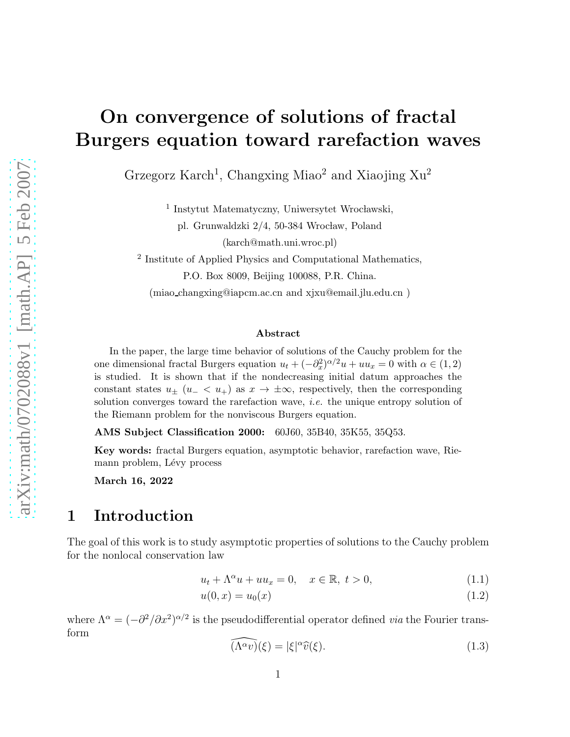# On convergence of solutions of fractal Burgers equation toward rarefaction waves

Grzegorz Karch<sup>1</sup>, Changxing Miao<sup>2</sup> and Xiaojing  $Xu<sup>2</sup>$ 

<sup>1</sup> Instytut Matematyczny, Uniwersytet Wrocławski,

pl. Grunwaldzki 2/4, 50-384 Wrocław, Poland (karch@math.uni.wroc.pl)

<sup>2</sup> Institute of Applied Physics and Computational Mathematics, P.O. Box 8009, Beijing 100088, P.R. China.

(miao changxing@iapcm.ac.cn and xjxu@email.jlu.edu.cn )

#### Abstract

In the paper, the large time behavior of solutions of the Cauchy problem for the one dimensional fractal Burgers equation  $u_t + (-\partial_x^2)^{\alpha/2}u + uu_x = 0$  with  $\alpha \in (1, 2)$ is studied. It is shown that if the nondecreasing initial datum approaches the constant states  $u_+$  ( $u_- < u_+$ ) as  $x \to \pm \infty$ , respectively, then the corresponding solution converges toward the rarefaction wave, *i.e.* the unique entropy solution of the Riemann problem for the nonviscous Burgers equation.

AMS Subject Classification 2000: 60J60, 35B40, 35K55, 35Q53.

Key words: fractal Burgers equation, asymptotic behavior, rarefaction wave, Riemann problem, Lévy process

March 16, 2022

#### 1 Introduction

The goal of this work is to study asymptotic properties of solutions to the Cauchy problem for the nonlocal conservation law

<span id="page-0-0"></span>
$$
u_t + \Lambda^\alpha u + uu_x = 0, \quad x \in \mathbb{R}, \ t > 0,
$$
\n
$$
(1.1)
$$

$$
u(0,x) = u_0(x) \tag{1.2}
$$

where  $\Lambda^{\alpha} = (-\partial^2/\partial x^2)^{\alpha/2}$  is the pseudodifferential operator defined *via* the Fourier transform

<span id="page-0-1"></span>
$$
\widehat{(\Lambda^{\alpha}v)}(\xi) = |\xi|^{\alpha}\widehat{v}(\xi). \tag{1.3}
$$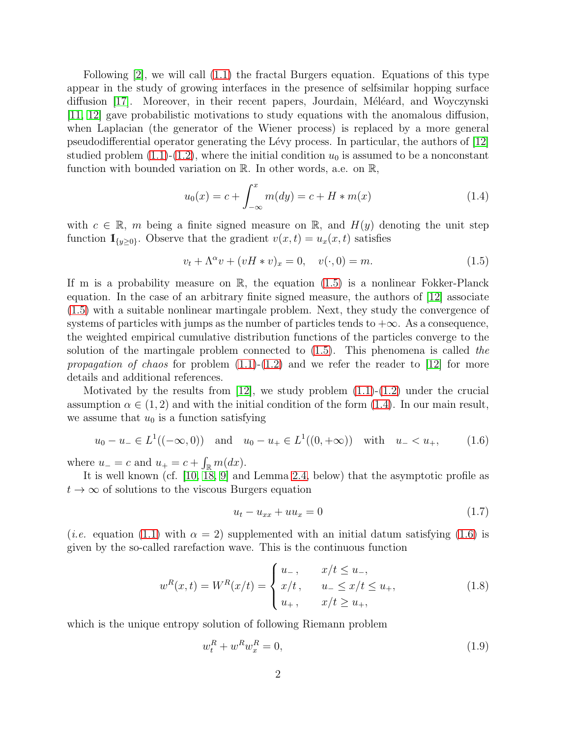Following [\[2\]](#page-13-0), we will call [\(1.1\)](#page-0-0) the fractal Burgers equation. Equations of this type appear in the study of growing interfaces in the presence of selfsimilar hopping surface diffusion [\[17\]](#page-14-0). Moreover, in their recent papers, Jourdain, Méléard, and Woyczynski [\[11,](#page-14-1) [12\]](#page-14-2) gave probabilistic motivations to study equations with the anomalous diffusion, when Laplacian (the generator of the Wiener process) is replaced by a more general pseudodifferential operator generating the Lévy process. In particular, the authors of  $|12|$ studied problem  $(1.1)-(1.2)$  $(1.1)-(1.2)$ , where the initial condition  $u_0$  is assumed to be a nonconstant function with bounded variation on R. In other words, a.e. on R,

<span id="page-1-1"></span>
$$
u_0(x) = c + \int_{-\infty}^{x} m(dy) = c + H * m(x)
$$
 (1.4)

with  $c \in \mathbb{R}$ , m being a finite signed measure on  $\mathbb{R}$ , and  $H(y)$  denoting the unit step function  $\mathbb{I}_{\{y\geq 0\}}$ . Observe that the gradient  $v(x,t) = u_x(x,t)$  satisfies

<span id="page-1-0"></span>
$$
v_t + \Lambda^{\alpha} v + (vH * v)_x = 0, \quad v(\cdot, 0) = m.
$$
 (1.5)

If m is a probability measure on  $\mathbb{R}$ , the equation  $(1.5)$  is a nonlinear Fokker-Planck equation. In the case of an arbitrary finite signed measure, the authors of [\[12\]](#page-14-2) associate [\(1.5\)](#page-1-0) with a suitable nonlinear martingale problem. Next, they study the convergence of systems of particles with jumps as the number of particles tends to  $+\infty$ . As a consequence, the weighted empirical cumulative distribution functions of the particles converge to the solution of the martingale problem connected to  $(1.5)$ . This phenomena is called the *propagation of chaos* for problem  $(1.1)-(1.2)$  $(1.1)-(1.2)$  and we refer the reader to [\[12\]](#page-14-2) for more details and additional references.

Motivated by the results from  $[12]$ , we study problem  $(1.1)-(1.2)$  $(1.1)-(1.2)$  under the crucial assumption  $\alpha \in (1,2)$  and with the initial condition of the form [\(1.4\)](#page-1-1). In our main result, we assume that  $u_0$  is a function satisfying

<span id="page-1-2"></span>
$$
u_0 - u_- \in L^1((-\infty, 0))
$$
 and  $u_0 - u_+ \in L^1((0, +\infty))$  with  $u_- < u_+$ , (1.6)

where  $u_-=c$  and  $u_+=c+\int_{\mathbb{R}} m(dx)$ .

It is well known (cf. [\[10,](#page-14-3) [18,](#page-14-4) [9\]](#page-13-1) and Lemma [2.4,](#page-8-0) below) that the asymptotic profile as  $t \to \infty$  of solutions to the viscous Burgers equation

<span id="page-1-3"></span>
$$
u_t - u_{xx} + uu_x = 0 \t\t(1.7)
$$

(*i.e.* equation [\(1.1\)](#page-0-0) with  $\alpha = 2$ ) supplemented with an initial datum satisfying [\(1.6\)](#page-1-2) is given by the so-called rarefaction wave. This is the continuous function

<span id="page-1-5"></span>
$$
w^{R}(x,t) = W^{R}(x/t) = \begin{cases} u_{-}, & x/t \le u_{-}, \\ x/t, & u_{-} \le x/t \le u_{+}, \\ u_{+}, & x/t \ge u_{+}, \end{cases}
$$
(1.8)

which is the unique entropy solution of following Riemann problem

<span id="page-1-4"></span>
$$
w_t^R + w^R w_x^R = 0,\t\t(1.9)
$$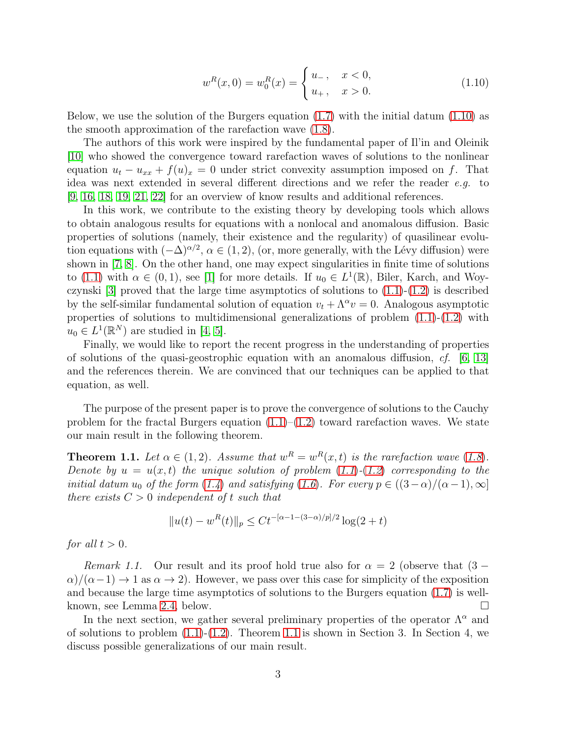$$
w^{R}(x,0) = w_{0}^{R}(x) = \begin{cases} u_{-}, & x < 0, \\ u_{+}, & x > 0. \end{cases}
$$
 (1.10)

Below, we use the solution of the Burgers equation  $(1.7)$  with the initial datum  $(1.10)$  as the smooth approximation of the rarefaction wave [\(1.8\)](#page-1-5).

The authors of this work were inspired by the fundamental paper of Il'in and Oleinik [\[10\]](#page-14-3) who showed the convergence toward rarefaction waves of solutions to the nonlinear equation  $u_t - u_{xx} + f(u)_x = 0$  under strict convexity assumption imposed on f. That idea was next extended in several different directions and we refer the reader e.g. to [\[9,](#page-13-1) [16,](#page-14-5) [18,](#page-14-4) [19,](#page-14-6) [21,](#page-14-7) [22\]](#page-14-8) for an overview of know results and additional references.

In this work, we contribute to the existing theory by developing tools which allows to obtain analogous results for equations with a nonlocal and anomalous diffusion. Basic properties of solutions (namely, their existence and the regularity) of quasilinear evolution equations with  $(-\Delta)^{\alpha/2}$ ,  $\alpha \in (1, 2)$ , (or, more generally, with the Lévy diffusion) were shown in [\[7,](#page-13-2) [8\]](#page-13-3). On the other hand, one may expect singularities in finite time of solutions to [\(1.1\)](#page-0-0) with  $\alpha \in (0,1)$ , see [\[1\]](#page-13-4) for more details. If  $u_0 \in L^1(\mathbb{R})$ , Biler, Karch, and Woyczynski  $[3]$  proved that the large time asymptotics of solutions to  $(1.1)-(1.2)$  $(1.1)-(1.2)$  is described by the self-similar fundamental solution of equation  $v_t + \Lambda^\alpha v = 0$ . Analogous asymptotic properties of solutions to multidimensional generalizations of problem [\(1.1\)](#page-0-0)-[\(1.2\)](#page-0-0) with  $u_0 \in L^1(\mathbb{R}^N)$  are studied in [\[4,](#page-13-6) [5\]](#page-13-7).

Finally, we would like to report the recent progress in the understanding of properties of solutions of the quasi-geostrophic equation with an anomalous diffusion,  $cf.$  [\[6,](#page-13-8) [13\]](#page-14-9) and the references therein. We are convinced that our techniques can be applied to that equation, as well.

The purpose of the present paper is to prove the convergence of solutions to the Cauchy problem for the fractal Burgers equation  $(1.1)$ – $(1.2)$  toward rarefaction waves. We state our main result in the following theorem.

<span id="page-2-0"></span>**Theorem 1.1.** Let  $\alpha \in (1,2)$ . Assume that  $w^R = w^R(x,t)$  is the rarefaction wave  $(1.8)$  $(1.8)$  $(1.8)$ . Denote by  $u = u(x, t)$  the unique solution of problem  $(1.1)$  $(1.1)$  $(1.1)$ - $(1.2)$  $(1.2)$  $(1.2)$  corresponding to the initial datum u<sub>0</sub> of the form ([1.4](#page-1-1)) and satisfying ([1.6](#page-1-2)). For every  $p \in ((3-\alpha)/(\alpha-1), \infty]$ there exists  $C > 0$  independent of t such that

$$
||u(t) - w^{R}(t)||_{p} \le Ct^{-\alpha - 1 - (3 - \alpha)/p)/2} \log(2 + t)
$$

for all  $t > 0$ .

Remark 1.1. Our result and its proof hold true also for  $\alpha = 2$  (observe that  $(3 \alpha$ /( $\alpha$ -1)  $\rightarrow$  1 as  $\alpha \rightarrow$  2). However, we pass over this case for simplicity of the exposition and because the large time asymptotics of solutions to the Burgers equation [\(1.7\)](#page-1-3) is wellknown, see Lemma [2.4,](#page-8-0) below.

In the next section, we gather several preliminary properties of the operator  $\Lambda^{\alpha}$  and of solutions to problem  $(1.1)-(1.2)$  $(1.1)-(1.2)$ . Theorem [1.1](#page-2-0) is shown in Section 3. In Section 4, we discuss possible generalizations of our main result.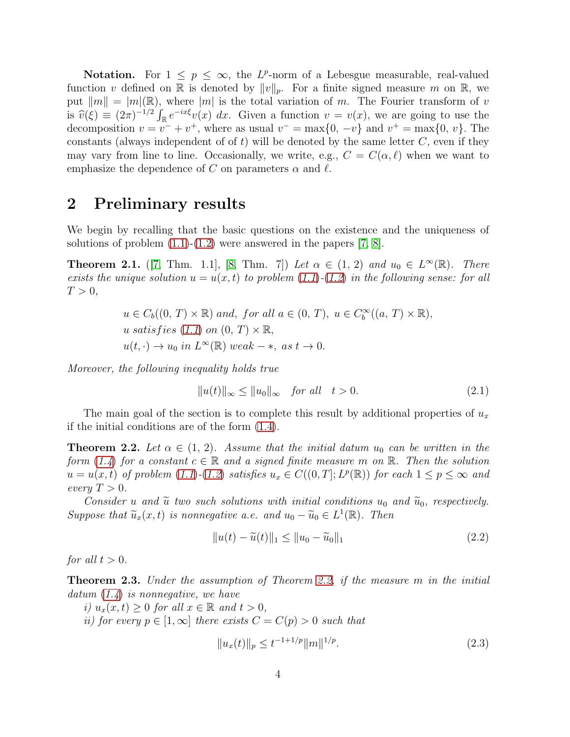**Notation.** For  $1 \leq p \leq \infty$ , the L<sup>p</sup>-norm of a Lebesgue measurable, real-valued function v defined on R is denoted by  $||v||_p$ . For a finite signed measure m on R, we put  $||m|| = |m|(\mathbb{R})$ , where  $|m|$  is the total variation of m. The Fourier transform of v is  $\hat{v}(\xi) \equiv (2\pi)^{-1/2} \int_{\mathbb{R}} e^{-ix\xi} v(x) dx$ . Given a function  $v = v(x)$ , we are going to use the decomposition  $v = v^- + v^+$ , where as usual  $v^- = \max\{0, -v\}$  and  $v^+ = \max\{0, v\}$ . The constants (always independent of of t) will be denoted by the same letter  $C$ , even if they may vary from line to line. Occasionally, we write, e.g.,  $C = C(\alpha, \ell)$  when we want to emphasize the dependence of C on parameters  $\alpha$  and  $\ell$ .

### 2 Preliminary results

We begin by recalling that the basic questions on the existence and the uniqueness of solutions of problem  $(1.1)-(1.2)$  $(1.1)-(1.2)$  were answered in the papers [\[7,](#page-13-2) [8\]](#page-13-3).

**Theorem 2.1.** ([\[7,](#page-13-2) Thm. 1.1], [\[8,](#page-13-3) Thm. 7]) Let  $\alpha \in (1, 2)$  and  $u_0 \in L^{\infty}(\mathbb{R})$ . There exists the unique solution  $u = u(x, t)$  to problem  $(1.1)$  $(1.1)$  $(1.1)$ - $(1.2)$  $(1.2)$  $(1.2)$  in the following sense: for all  $T > 0$ ,

> $u \in C_b((0, T) \times \mathbb{R})$  and, for all  $a \in (0, T)$ ,  $u \in C_b^{\infty}((a, T) \times \mathbb{R})$ , u satisfies  $(1.1)$  $(1.1)$  $(1.1)$  on  $(0, T) \times \mathbb{R}$ ,  $u(t, \cdot) \to u_0$  in  $L^{\infty}(\mathbb{R})$  weak – \*, as  $t \to 0$ .

Moreover, the following inequality holds true

$$
||u(t)||_{\infty} \le ||u_0||_{\infty} \quad \text{for all} \quad t > 0. \tag{2.1}
$$

The main goal of the section is to complete this result by additional properties of  $u_x$ if the initial conditions are of the form [\(1.4\)](#page-1-1).

<span id="page-3-0"></span>**Theorem 2.2.** Let  $\alpha \in (1, 2)$ . Assume that the initial datum  $u_0$  can be written in the form ([1.4](#page-1-1)) for a constant  $c \in \mathbb{R}$  and a signed finite measure m on  $\mathbb{R}$ . Then the solution  $u = u(x, t)$  of problem  $(1.1)$  $(1.1)$  $(1.1)$ - $(1.2)$  $(1.2)$  $(1.2)$  satisfies  $u_x \in C((0, T]; L^p(\mathbb{R}))$  for each  $1 \le p \le \infty$  and every  $T > 0$ .

Consider u and  $\tilde{u}$  two such solutions with initial conditions  $u_0$  and  $\tilde{u}_0$ , respectively. Suppose that  $\widetilde{u}_x(x,t)$  is nonnegative a.e. and  $u_0 - \widetilde{u}_0 \in L^1(\mathbb{R})$ . Then

<span id="page-3-2"></span>
$$
||u(t) - \tilde{u}(t)||_1 \le ||u_0 - \tilde{u}_0||_1
$$
\n(2.2)

for all  $t > 0$ .

<span id="page-3-1"></span>**Theorem 2.3.** Under the assumption of Theorem [2.2,](#page-3-0) if the measure m in the initial  $datum (1.4)$  $datum (1.4)$  $datum (1.4)$  is nonnegative, we have

i)  $u_x(x,t) \geq 0$  for all  $x \in \mathbb{R}$  and  $t > 0$ ,

ii) for every  $p \in [1,\infty]$  there exists  $C = C(p) > 0$  such that

<span id="page-3-3"></span>
$$
||u_x(t)||_p \le t^{-1+1/p} ||m||^{1/p}.
$$
\n(2.3)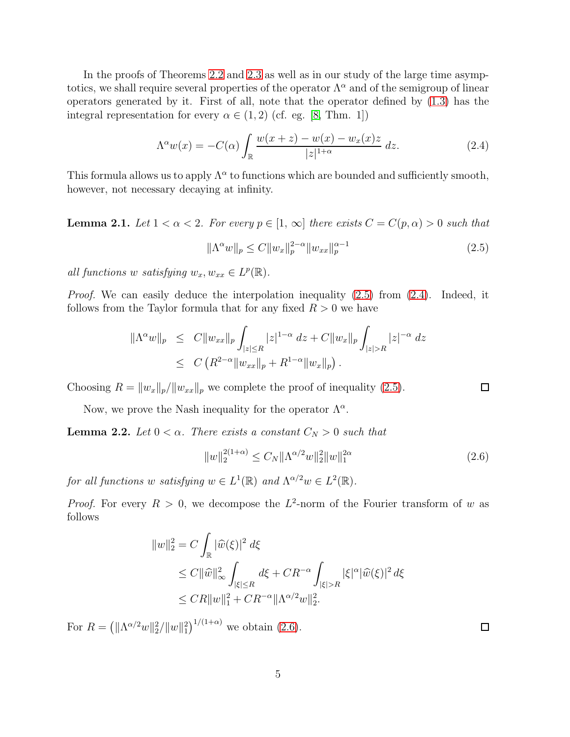In the proofs of Theorems [2.2](#page-3-0) and [2.3](#page-3-1) as well as in our study of the large time asymptotics, we shall require several properties of the operator  $\Lambda^{\alpha}$  and of the semigroup of linear operators generated by it. First of all, note that the operator defined by [\(1.3\)](#page-0-1) has the integral representation for every  $\alpha \in (1,2)$  (cf. eg. [\[8,](#page-13-3) Thm. 1])

<span id="page-4-1"></span>
$$
\Lambda^{\alpha}w(x) = -C(\alpha) \int_{\mathbb{R}} \frac{w(x+z) - w(x) - w_x(x)z}{|z|^{1+\alpha}} dz.
$$
 (2.4)

This formula allows us to apply  $\Lambda^{\alpha}$  to functions which are bounded and sufficiently smooth, however, not necessary decaying at infinity.

**Lemma 2.1.** Let  $1 < \alpha < 2$ . For every  $p \in [1, \infty]$  there exists  $C = C(p, \alpha) > 0$  such that

<span id="page-4-0"></span>
$$
\|\Lambda^{\alpha}w\|_{p} \le C \|w_{x}\|_{p}^{2-\alpha} \|w_{xx}\|_{p}^{\alpha-1}
$$
\n(2.5)

all functions w satisfying  $w_x, w_{xx} \in L^p(\mathbb{R})$ .

*Proof.* We can easily deduce the interpolation inequality  $(2.5)$  from  $(2.4)$ . Indeed, it follows from the Taylor formula that for any fixed  $R > 0$  we have

$$
\|\Lambda^{\alpha}w\|_{p} \leq C \|w_{xx}\|_{p} \int_{|z| \leq R} |z|^{1-\alpha} dz + C \|w_{x}\|_{p} \int_{|z| > R} |z|^{-\alpha} dz
$$
  

$$
\leq C \left( R^{2-\alpha} \|w_{xx}\|_{p} + R^{1-\alpha} \|w_{x}\|_{p} \right).
$$

Choosing  $R = ||w_x||_p/||w_{xx}||_p$  we complete the proof of inequality [\(2.5\)](#page-4-0).

Now, we prove the Nash inequality for the operator  $\Lambda^{\alpha}$ .

**Lemma 2.2.** Let  $0 < \alpha$ . There exists a constant  $C_N > 0$  such that

<span id="page-4-2"></span>
$$
||w||_2^{2(1+\alpha)} \le C_N ||\Lambda^{\alpha/2} w||_2^2 ||w||_1^{2\alpha} \tag{2.6}
$$

for all functions w satisfying  $w \in L^1(\mathbb{R})$  and  $\Lambda^{\alpha/2}w \in L^2(\mathbb{R})$ .

*Proof.* For every  $R > 0$ , we decompose the  $L^2$ -norm of the Fourier transform of w as follows

$$
\begin{aligned} \|w\|_2^2 &= C \int_{\mathbb{R}} |\widehat{w}(\xi)|^2 \, d\xi \\ &\leq C \|\widehat{w}\|_{\infty}^2 \int_{|\xi| \leq R} d\xi + CR^{-\alpha} \int_{|\xi| > R} |\xi|^{\alpha} |\widehat{w}(\xi)|^2 \, d\xi \\ &\leq CR \|w\|_1^2 + CR^{-\alpha} \|\Lambda^{\alpha/2} w\|_2^2. \end{aligned}
$$

For  $R = (||\Lambda^{\alpha/2}w||_2^2/||w||_1^2)^{1/(1+\alpha)}$  we obtain [\(2.6\)](#page-4-2).

 $\Box$ 

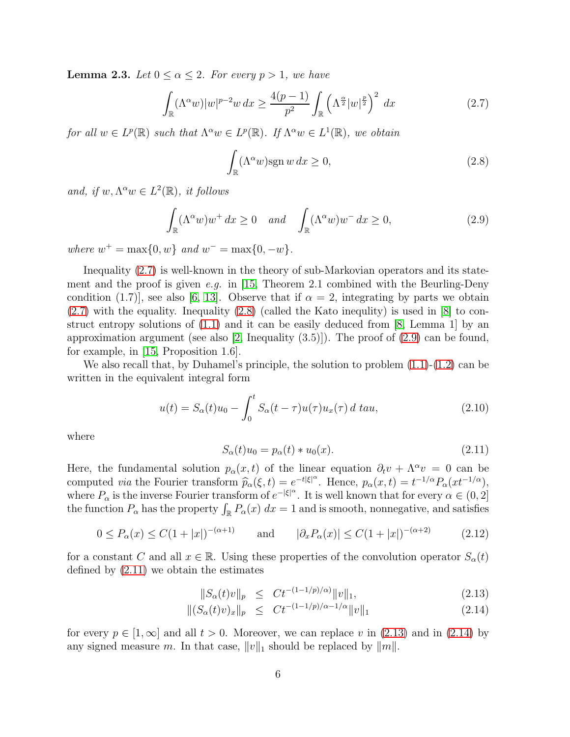<span id="page-5-6"></span>**Lemma 2.3.** Let  $0 \le \alpha \le 2$ . For every  $p > 1$ , we have

<span id="page-5-0"></span>
$$
\int_{\mathbb{R}} (\Lambda^{\alpha} w)|w|^{p-2}w \, dx \ge \frac{4(p-1)}{p^2} \int_{\mathbb{R}} \left(\Lambda^{\frac{\alpha}{2}}|w|^{\frac{p}{2}}\right)^2 \, dx \tag{2.7}
$$

for all  $w \in L^p(\mathbb{R})$  such that  $\Lambda^{\alpha} w \in L^p(\mathbb{R})$ . If  $\Lambda^{\alpha} w \in L^1(\mathbb{R})$ , we obtain

<span id="page-5-1"></span>
$$
\int_{\mathbb{R}} (\Lambda^{\alpha} w) \operatorname{sgn} w \, dx \ge 0,\tag{2.8}
$$

and, if  $w, \Lambda^{\alpha}w \in L^2(\mathbb{R})$ , it follows

<span id="page-5-2"></span>
$$
\int_{\mathbb{R}} (\Lambda^{\alpha} w) w^{+} dx \ge 0 \quad and \quad \int_{\mathbb{R}} (\Lambda^{\alpha} w) w^{-} dx \ge 0,
$$
\n(2.9)

where  $w^+ = \max\{0, w\}$  and  $w^- = \max\{0, -w\}.$ 

Inequality [\(2.7\)](#page-5-0) is well-known in the theory of sub-Markovian operators and its state-ment and the proof is given e.g. in [\[15,](#page-14-10) Theorem 2.1 combined with the Beurling-Deny condition (1.7)], see also [\[6,](#page-13-8) [13\]](#page-14-9). Observe that if  $\alpha = 2$ , integrating by parts we obtain  $(2.7)$  with the equality. Inequality  $(2.8)$  (called the Kato inequility) is used in [\[8\]](#page-13-3) to construct entropy solutions of [\(1.1\)](#page-0-0) and it can be easily deduced from [\[8,](#page-13-3) Lemma 1] by an approximation argument (see also [\[2,](#page-13-0) Inequality  $(3.5)$ ]). The proof of  $(2.9)$  can be found, for example, in [\[15,](#page-14-10) Proposition 1.6].

We also recall that, by Duhamel's principle, the solution to problem  $(1.1)-(1.2)$  $(1.1)-(1.2)$  can be written in the equivalent integral form

<span id="page-5-5"></span>
$$
u(t) = S_{\alpha}(t)u_0 - \int_0^t S_{\alpha}(t-\tau)u(\tau)u_x(\tau) d\tau du,
$$
\n(2.10)

where

<span id="page-5-3"></span>
$$
S_{\alpha}(t)u_0 = p_{\alpha}(t) * u_0(x).
$$
 (2.11)

Here, the fundamental solution  $p_{\alpha}(x,t)$  of the linear equation  $\partial_t v + \Lambda^{\alpha} v = 0$  can be computed via the Fourier transform  $\widehat{p}_{\alpha}(\xi, t) = e^{-t|\xi|^{\alpha}}$ . Hence,  $p_{\alpha}(x, t) = t^{-1/\alpha} P_{\alpha}(xt^{-1/\alpha})$ , where  $P_{\alpha}$  is the inverse Fourier transform of  $e^{-|\xi|^{\alpha}}$ . It is well known that for every  $\alpha \in (0,2]$ the function  $P_{\alpha}$  has the property  $\int_{\mathbb{R}} P_{\alpha}(x) dx = 1$  and is smooth, nonnegative, and satisfies

$$
0 \le P_{\alpha}(x) \le C(1+|x|)^{-(\alpha+1)} \quad \text{and} \quad |\partial_x P_{\alpha}(x)| \le C(1+|x|)^{-(\alpha+2)} \quad (2.12)
$$

for a constant C and all  $x \in \mathbb{R}$ . Using these properties of the convolution operator  $S_{\alpha}(t)$ defined by [\(2.11\)](#page-5-3) we obtain the estimates

<span id="page-5-4"></span>
$$
||S_{\alpha}(t)v||_{p} \leq Ct^{-(1-1/p)/\alpha)}||v||_{1}, \tag{2.13}
$$

$$
\|(S_{\alpha}(t)v)_{x}\|_{p} \leq Ct^{-(1-1/p)/\alpha - 1/\alpha} \|v\|_{1}
$$
\n(2.14)

for every  $p \in [1,\infty]$  and all  $t > 0$ . Moreover, we can replace v in [\(2.13\)](#page-5-4) and in [\(2.14\)](#page-5-4) by any signed measure m. In that case,  $||v||_1$  should be replaced by  $||m||$ .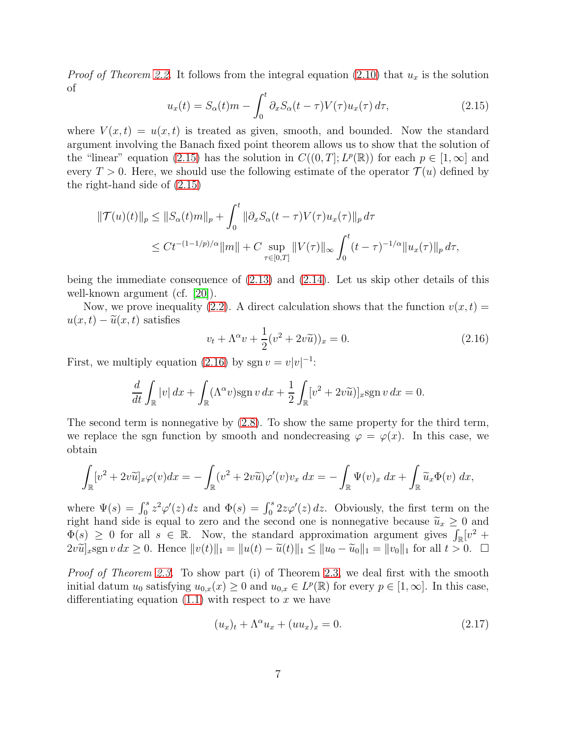*Proof of Theorem [2.2.](#page-3-0)* It follows from the integral equation [\(2.10\)](#page-5-5) that  $u_x$  is the solution of

<span id="page-6-0"></span>
$$
u_x(t) = S_\alpha(t)m - \int_0^t \partial_x S_\alpha(t-\tau)V(\tau)u_x(\tau) d\tau,
$$
\n(2.15)

where  $V(x,t) = u(x,t)$  is treated as given, smooth, and bounded. Now the standard argument involving the Banach fixed point theorem allows us to show that the solution of the "linear" equation [\(2.15\)](#page-6-0) has the solution in  $C((0,T]; L^p(\mathbb{R}))$  for each  $p \in [1,\infty]$  and every  $T > 0$ . Here, we should use the following estimate of the operator  $\mathcal{T}(u)$  defined by the right-hand side of [\(2.15\)](#page-6-0)

$$
\begin{aligned} ||\mathcal{T}(u)(t)||_p &\leq ||S_\alpha(t)m||_p + \int_0^t ||\partial_x S_\alpha(t-\tau)V(\tau)u_x(\tau)||_p \, d\tau \\ &\leq Ct^{-(1-1/p)/\alpha}||m|| + C \sup_{\tau \in [0,T]} ||V(\tau)||_\infty \int_0^t (t-\tau)^{-1/\alpha} ||u_x(\tau)||_p \, d\tau, \end{aligned}
$$

being the immediate consequence of [\(2.13\)](#page-5-4) and [\(2.14\)](#page-5-4). Let us skip other details of this well-known argument (cf. [\[20\]](#page-14-11)).

Now, we prove inequality [\(2.2\)](#page-3-2). A direct calculation shows that the function  $v(x, t) =$  $u(x, t) - \tilde{u}(x, t)$  satisfies

<span id="page-6-1"></span>
$$
v_t + \Lambda^{\alpha} v + \frac{1}{2} (v^2 + 2v\tilde{u})_x = 0.
$$
 (2.16)

First, we multiply equation [\(2.16\)](#page-6-1) by sgn  $v = v|v|^{-1}$ :

$$
\frac{d}{dt} \int_{\mathbb{R}} |v| dx + \int_{\mathbb{R}} (\Lambda^{\alpha} v) \operatorname{sgn} v dx + \frac{1}{2} \int_{\mathbb{R}} [v^2 + 2v \widetilde{u}]_{x} \operatorname{sgn} v dx = 0.
$$

The second term is nonnegative by [\(2.8\)](#page-5-1). To show the same property for the third term, we replace the sgn function by smooth and nondecreasing  $\varphi = \varphi(x)$ . In this case, we obtain

$$
\int_{\mathbb{R}} [v^2 + 2v\widetilde{u}]_x \varphi(v) dx = - \int_{\mathbb{R}} (v^2 + 2v\widetilde{u}) \varphi'(v) v_x dx = - \int_{\mathbb{R}} \Psi(v)_x dx + \int_{\mathbb{R}} \widetilde{u}_x \Phi(v) dx,
$$

where  $\Psi(s) = \int_0^s z^2 \varphi'(z) dz$  and  $\Phi(s) = \int_0^s 2z\varphi'(z) dz$ . Obviously, the first term on the right hand side is equal to zero and the second one is nonnegative because  $\tilde{u}_x \geq 0$  and  $\overline{\Phi}(s) \geq 0$  for all  $s \in \mathbb{R}$ . Now, the standard approximation argument gives  $\int_{\mathbb{R}} [v^2 +$  $2v\tilde{u}_x^2$  sgn  $v dx \geq 0$ . Hence  $||v(t)||_1 = ||u(t) - \tilde{u}(t)||_1 \leq ||u_0 - \tilde{u}_0||_1 = ||v_0||_1$  for all  $t > 0$ .  $\Box$ 

Proof of Theorem [2.3.](#page-3-1) To show part (i) of Theorem [2.3,](#page-3-1) we deal first with the smooth initial datum  $u_0$  satisfying  $u_{0,x}(x) \geq 0$  and  $u_{0,x} \in L^p(\mathbb{R})$  for every  $p \in [1,\infty]$ . In this case, differentiating equation  $(1.1)$  with respect to x we have

<span id="page-6-2"></span>
$$
(u_x)_t + \Lambda^\alpha u_x + (uu_x)_x = 0.
$$
\n
$$
(2.17)
$$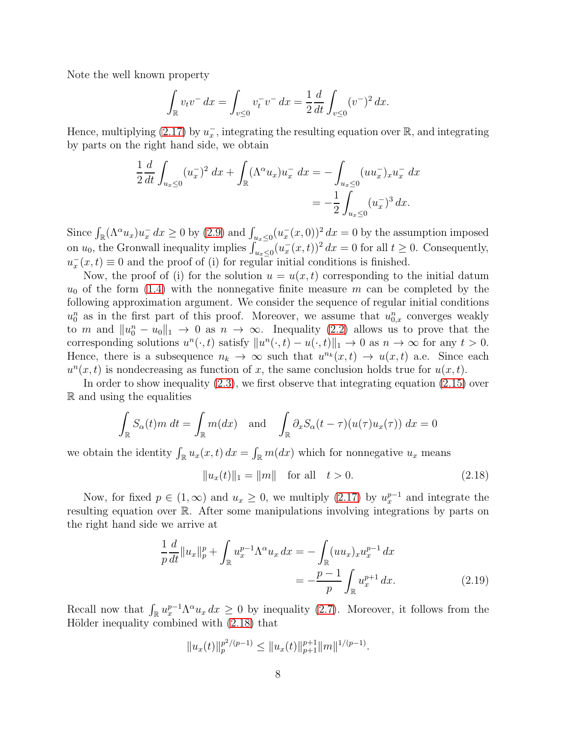Note the well known property

$$
\int_{\mathbb{R}} v_t v^- dx = \int_{v \le 0} v_t^- v^- dx = \frac{1}{2} \frac{d}{dt} \int_{v \le 0} (v^-)^2 dx.
$$

Hence, multiplying  $(2.17)$  by  $u_x^-$ , integrating the resulting equation over  $\mathbb{R}$ , and integrating by parts on the right hand side, we obtain

$$
\frac{1}{2}\frac{d}{dt}\int_{u_x\leq 0} (u_x^-)^2 dx + \int_{\mathbb{R}} (\Lambda^\alpha u_x) u_x^- dx = -\int_{u_x\leq 0} (u u_x^-)_x u_x^- dx
$$
  
= 
$$
-\frac{1}{2}\int_{u_x\leq 0} (u_x^-)^3 dx.
$$

Since  $\int_{\mathbb{R}} (\Lambda^{\alpha} u_x) u_x^{\dagger} dx \ge 0$  by [\(2.9\)](#page-5-2) and  $\int_{u_x \le 0} (u_x^{\dagger}(x,0))^2 dx = 0$  by the assumption imposed on  $u_0$ , the Gronwall inequality implies  $\int_{u_x \leq 0}^{u_x} (u_x^-(x,t))^2 dx = 0$  for all  $t \geq 0$ . Consequently,  $u_x^-(x,t) \equiv 0$  and the proof of (i) for regular initial conditions is finished.

Now, the proof of (i) for the solution  $u = u(x, t)$  corresponding to the initial datum  $u_0$  of the form [\(1.4\)](#page-1-1) with the nonnegative finite measure m can be completed by the following approximation argument. We consider the sequence of regular initial conditions  $u_0^n$  as in the first part of this proof. Moreover, we assume that  $u_{0,x}^n$  converges weakly to m and  $||u_0^n - u_0||_1 \to 0$  as  $n \to \infty$ . Inequality [\(2.2\)](#page-3-2) allows us to prove that the corresponding solutions  $u^n(\cdot, t)$  satisfy  $||u^n(\cdot, t) - u(\cdot, t)||_1 \to 0$  as  $n \to \infty$  for any  $t > 0$ . Hence, there is a subsequence  $n_k \to \infty$  such that  $u^{n_k}(x,t) \to u(x,t)$  a.e. Since each  $u^{n}(x,t)$  is nondecreasing as function of x, the same conclusion holds true for  $u(x,t)$ .

In order to show inequality [\(2.3\)](#page-3-3), we first observe that integrating equation [\(2.15\)](#page-6-0) over R and using the equalities

$$
\int_{\mathbb{R}} S_{\alpha}(t) m \, dt = \int_{\mathbb{R}} m(dx) \quad \text{and} \quad \int_{\mathbb{R}} \partial_x S_{\alpha}(t - \tau) (u(\tau) u_x(\tau)) \, dx = 0
$$

we obtain the identity  $\int_{\mathbb{R}} u_x(x,t) dx = \int_{\mathbb{R}} m(dx)$  which for nonnegative  $u_x$  means

<span id="page-7-1"></span><span id="page-7-0"></span>
$$
||u_x(t)||_1 = ||m|| \text{ for all } t > 0.
$$
 (2.18)

Now, for fixed  $p \in (1,\infty)$  and  $u_x \ge 0$ , we multiply  $(2.17)$  by  $u_x^{p-1}$  and integrate the resulting equation over R. After some manipulations involving integrations by parts on the right hand side we arrive at

$$
\frac{1}{p}\frac{d}{dt}\|u_x\|_p^p + \int_{\mathbb{R}} u_x^{p-1} \Lambda^\alpha u_x \, dx = -\int_{\mathbb{R}} (uu_x)_x u_x^{p-1} \, dx
$$
\n
$$
= -\frac{p-1}{p} \int_{\mathbb{R}} u_x^{p+1} \, dx. \tag{2.19}
$$

Recall now that  $\int_{\mathbb{R}} u_x^{p-1} \Lambda^{\alpha} u_x dx \geq 0$  by inequality [\(2.7\)](#page-5-0). Moreover, it follows from the Hölder inequality combined with  $(2.18)$  that

$$
||u_x(t)||_p^{p^2/(p-1)} \le ||u_x(t)||_{p+1}^{p+1} ||m||^{1/(p-1)}.
$$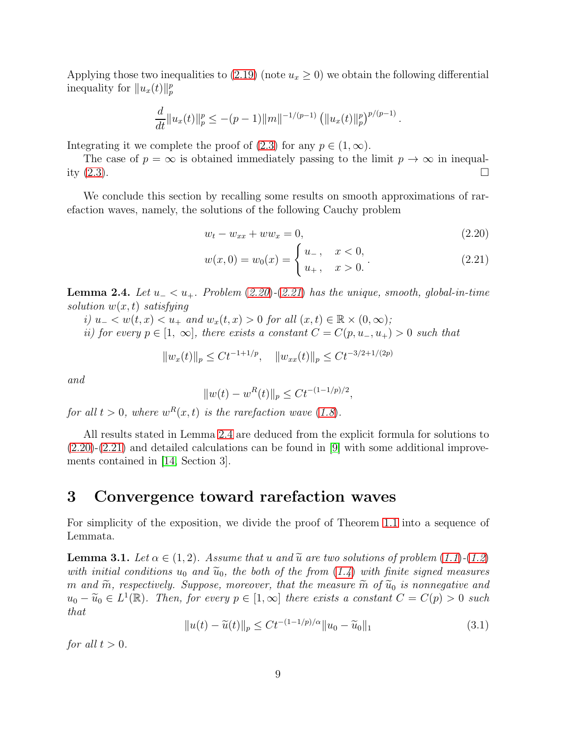Applying those two inequalities to  $(2.19)$  (note  $u_x \geq 0$ ) we obtain the following differential inequality for  $||u_x(t)||_p^p$ 

$$
\frac{d}{dt}||u_x(t)||_p^p \le -(p-1)||m||^{-1/(p-1)} \left(||u_x(t)||_p^p\right)^{p/(p-1)}.
$$

Integrating it we complete the proof of  $(2.3)$  for any  $p \in (1, \infty)$ .

The case of  $p = \infty$  is obtained immediately passing to the limit  $p \to \infty$  in inequality  $(2.3)$ .

We conclude this section by recalling some results on smooth approximations of rarefaction waves, namely, the solutions of the following Cauchy problem

<span id="page-8-1"></span>
$$
w_t - w_{xx} + ww_x = 0, \t\t(2.20)
$$

$$
w(x,0) = w_0(x) = \begin{cases} u_-, & x < 0, \\ u_+, & x > 0. \end{cases}
$$
 (2.21)

<span id="page-8-0"></span>**Lemma 2.4.** Let  $u_− < u_+$ . Problem  $(2.20)-(2.21)$  $(2.20)-(2.21)$  $(2.20)-(2.21)$  $(2.20)-(2.21)$  $(2.20)-(2.21)$  has the unique, smooth, global-in-time solution  $w(x, t)$  satisfying

i)  $u_- < w(t, x) < u_+$  and  $w_x(t, x) > 0$  for all  $(x, t) \in \mathbb{R} \times (0, \infty);$ 

ii) for every  $p \in [1, \infty]$ , there exists a constant  $C = C(p, u_-, u_+) > 0$  such that

$$
||w_x(t)||_p \le Ct^{-1+1/p}, \quad ||w_{xx}(t)||_p \le Ct^{-3/2+1/(2p)}
$$

and

$$
||w(t) - wR(t)||p \le Ct-(1-1/p)/2,
$$

for all  $t > 0$ , where  $w<sup>R</sup>(x,t)$  is the rarefaction wave  $(1.8)$  $(1.8)$  $(1.8)$ .

All results stated in Lemma [2.4](#page-8-0) are deduced from the explicit formula for solutions to  $(2.20)-(2.21)$  $(2.20)-(2.21)$  $(2.20)-(2.21)$  and detailed calculations can be found in [\[9\]](#page-13-1) with some additional improvements contained in [\[14,](#page-14-12) Section 3].

### 3 Convergence toward rarefaction waves

For simplicity of the exposition, we divide the proof of Theorem [1.1](#page-2-0) into a sequence of Lemmata.

<span id="page-8-3"></span>**Lemma 3.1.** Let  $\alpha \in (1, 2)$ . Assume that u and  $\widetilde{u}$  are two solutions of problem  $(1.1)$  $(1.1)$  $(1.1)$ - $(1.2)$  $(1.2)$  $(1.2)$ with initial conditions  $u_0$  and  $\tilde{u}_0$ , the both of the from  $(1.4)$  $(1.4)$  $(1.4)$  with finite signed measures m and  $\widetilde{m}$ , respectively. Suppose, moreover, that the measure  $\widetilde{m}$  of  $\widetilde{u}_0$  is nonnegative and  $u_0 - \widetilde{u}_0 \in L^1(\mathbb{R})$ . Then, for every  $p \in [1, \infty]$  there exists a constant  $C = C(p) > 0$  such that

<span id="page-8-2"></span>
$$
||u(t) - \tilde{u}(t)||_p \le Ct^{-(1-1/p)/\alpha} ||u_0 - \tilde{u}_0||_1
$$
\n(3.1)

for all  $t > 0$ .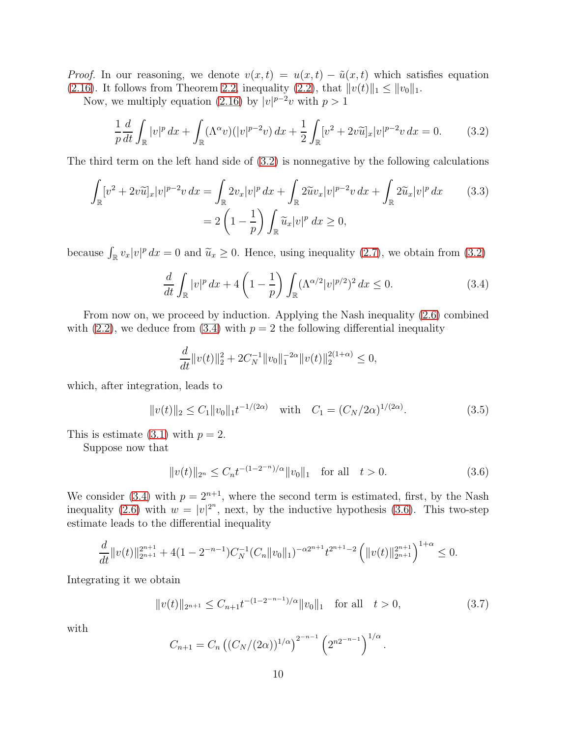*Proof.* In our reasoning, we denote  $v(x,t) = u(x,t) - \tilde{u}(x,t)$  which satisfies equation [\(2.16\)](#page-6-1). It follows from Theorem [2.2,](#page-3-0) inequality [\(2.2\)](#page-3-2), that  $||v(t)||_1 \leq ||v_0||_1$ .

Now, we multiply equation [\(2.16\)](#page-6-1) by  $|v|^{p-2}v$  with  $p>1$ 

<span id="page-9-0"></span>
$$
\frac{1}{p}\frac{d}{dt}\int_{\mathbb{R}}|v|^{p}dx+\int_{\mathbb{R}}(\Lambda^{\alpha}v)(|v|^{p-2}v)dx+\frac{1}{2}\int_{\mathbb{R}}[v^{2}+2v\widetilde{u}]_{x}|v|^{p-2}v dx=0.
$$
 (3.2)

The third term on the left hand side of  $(3.2)$  is nonnegative by the following calculations

$$
\int_{\mathbb{R}} [v^2 + 2v\widetilde{u}]_x |v|^{p-2} v \, dx = \int_{\mathbb{R}} 2v_x |v|^p \, dx + \int_{\mathbb{R}} 2\widetilde{u}v_x |v|^{p-2} v \, dx + \int_{\mathbb{R}} 2\widetilde{u}_x |v|^p \, dx \qquad (3.3)
$$

$$
= 2\left(1 - \frac{1}{p}\right) \int_{\mathbb{R}} \widetilde{u}_x |v|^p \, dx \ge 0,
$$

because  $\int_{\mathbb{R}} v_x |v|^p dx = 0$  and  $\tilde{u}_x \ge 0$ . Hence, using inequality [\(2.7\)](#page-5-0), we obtain from [\(3.2\)](#page-9-0)

<span id="page-9-4"></span><span id="page-9-1"></span>
$$
\frac{d}{dt} \int_{\mathbb{R}} |v|^p dx + 4 \left( 1 - \frac{1}{p} \right) \int_{\mathbb{R}} (\Lambda^{\alpha/2} |v|^{p/2})^2 dx \le 0.
$$
 (3.4)

From now on, we proceed by induction. Applying the Nash inequality [\(2.6\)](#page-4-2) combined with  $(2.2)$ , we deduce from  $(3.4)$  with  $p = 2$  the following differential inequality

$$
\frac{d}{dt}||v(t)||_2^2 + 2C_N^{-1}||v_0||_1^{-2\alpha}||v(t)||_2^{2(1+\alpha)} \le 0,
$$

which, after integration, leads to

$$
||v(t)||_2 \le C_1 ||v_0||_1 t^{-1/(2\alpha)} \quad \text{with} \quad C_1 = (C_N/2\alpha)^{1/(2\alpha)}.
$$
 (3.5)

This is estimate [\(3.1\)](#page-8-2) with  $p = 2$ .

Suppose now that

<span id="page-9-2"></span>
$$
||v(t)||_{2^n} \le C_n t^{-(1-2^{-n})/\alpha} ||v_0||_1 \quad \text{for all} \quad t > 0.
$$
 (3.6)

We consider [\(3.4\)](#page-9-1) with  $p = 2^{n+1}$ , where the second term is estimated, first, by the Nash inequality [\(2.6\)](#page-4-2) with  $w = |v|^{2^n}$ , next, by the inductive hypothesis [\(3.6\)](#page-9-2). This two-step estimate leads to the differential inequality

$$
\frac{d}{dt}||v(t)||_{2^{n+1}}^{2^{n+1}} + 4(1 - 2^{-n-1})C_N^{-1}(C_n||v_0||_1)^{-\alpha 2^{n+1}}t^{2^{n+1}-2} \left(||v(t)||_{2^{n+1}}^{2^{n+1}}\right)^{1+\alpha} \leq 0.
$$

Integrating it we obtain

<span id="page-9-3"></span>
$$
||v(t)||_{2^{n+1}} \leq C_{n+1} t^{-(1-2^{-n-1})/\alpha} ||v_0||_1 \quad \text{for all} \quad t > 0,
$$
\n(3.7)

with

$$
C_{n+1} = C_n \left( (C_N/(2\alpha))^{1/\alpha} \right)^{2^{-n-1}} \left( 2^{n2^{-n-1}} \right)^{1/\alpha}.
$$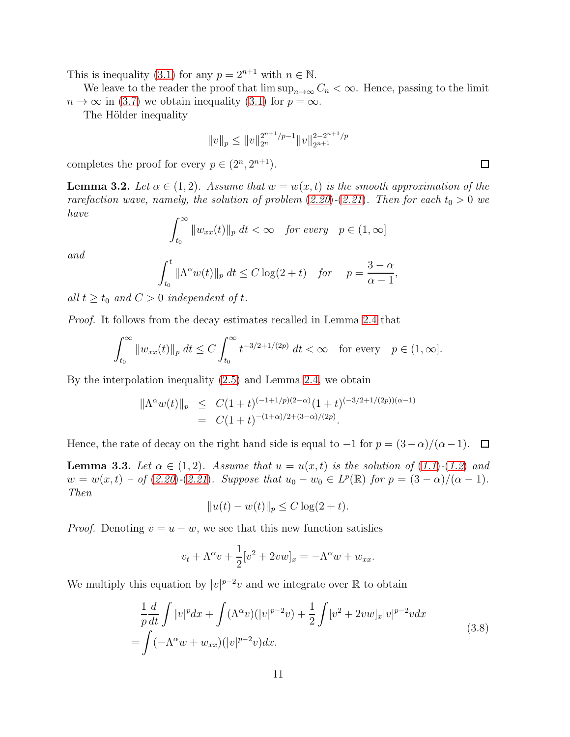This is inequality [\(3.1\)](#page-8-2) for any  $p = 2^{n+1}$  with  $n \in \mathbb{N}$ .

We leave to the reader the proof that  $\limsup_{n\to\infty} C_n < \infty$ . Hence, passing to the limit  $n \to \infty$  in [\(3.7\)](#page-9-3) we obtain inequality [\(3.1\)](#page-8-2) for  $p = \infty$ .

The Hölder inequality

$$
||v||_p \le ||v||_{2^n}^{2^{n+1}/p-1} ||v||_{2^{n+1}}^{2-2^{n+1}/p}
$$

completes the proof for every  $p \in (2^n, 2^{n+1})$ .

<span id="page-10-1"></span>**Lemma 3.2.** Let  $\alpha \in (1, 2)$ . Assume that  $w = w(x, t)$  is the smooth approximation of the rarefaction wave, namely, the solution of problem  $(2.20)-(2.21)$  $(2.20)-(2.21)$  $(2.20)-(2.21)$  $(2.20)-(2.21)$  $(2.20)-(2.21)$ . Then for each  $t_0 > 0$  we have

$$
\int_{t_0}^{\infty} \|w_{xx}(t)\|_p \ dt < \infty \quad \text{for every} \quad p \in (1, \infty]
$$

and

$$
\int_{t_0}^t \|\Lambda^{\alpha}w(t)\|_p \ dt \le C \log(2+t) \quad \text{for} \quad p = \frac{3-\alpha}{\alpha-1},
$$

all  $t \geq t_0$  and  $C > 0$  independent of t.

Proof. It follows from the decay estimates recalled in Lemma [2.4](#page-8-0) that

$$
\int_{t_0}^{\infty} \|w_{xx}(t)\|_p \ dt \le C \int_{t_0}^{\infty} t^{-3/2 + 1/(2p)} \ dt < \infty \quad \text{for every} \quad p \in (1, \infty].
$$

By the interpolation inequality [\(2.5\)](#page-4-0) and Lemma [2.4,](#page-8-0) we obtain

$$
\begin{array}{rcl}\n\|\Lambda^{\alpha}w(t)\|_{p} & \leq & C(1+t)^{(-1+1/p)(2-\alpha)}(1+t)^{(-3/2+1/(2p))(\alpha-1)} \\
& = & C(1+t)^{-(1+\alpha)/2+(3-\alpha)/(2p)}.\n\end{array}
$$

Hence, the rate of decay on the right hand side is equal to  $-1$  for  $p = (3 - \alpha)/(\alpha - 1)$ .  $\Box$ 

<span id="page-10-2"></span>**Lemma 3.3.** Let  $\alpha \in (1,2)$ . Assume that  $u = u(x,t)$  is the solution of  $(1.1)-(1.2)$  $(1.1)-(1.2)$  $(1.1)-(1.2)$  $(1.1)-(1.2)$  $(1.1)-(1.2)$  and  $w = w(x, t) - \text{of } (2.20)-(2.21)$  $w = w(x, t) - \text{of } (2.20)-(2.21)$  $w = w(x, t) - \text{of } (2.20)-(2.21)$  $w = w(x, t) - \text{of } (2.20)-(2.21)$  $w = w(x, t) - \text{of } (2.20)-(2.21)$ . Suppose that  $u_0 - w_0 \in L^p(\mathbb{R})$  for  $p = (3 - \alpha)/(\alpha - 1)$ . Then

$$
||u(t) - w(t)||_p \le C \log(2 + t).
$$

*Proof.* Denoting  $v = u - w$ , we see that this new function satisfies

$$
v_t + \Lambda^{\alpha} v + \frac{1}{2} [v^2 + 2vw]_x = -\Lambda^{\alpha} w + w_{xx}.
$$

We multiply this equation by  $|v|^{p-2}v$  and we integrate over R to obtain

<span id="page-10-0"></span>
$$
\frac{1}{p}\frac{d}{dt}\int |v|^p dx + \int (\Lambda^{\alpha}v)(|v|^{p-2}v) + \frac{1}{2}\int [v^2 + 2vw]_x |v|^{p-2}v dx
$$
\n
$$
= \int (-\Lambda^{\alpha}w + w_{xx})(|v|^{p-2}v)dx.
$$
\n(3.8)

 $\Box$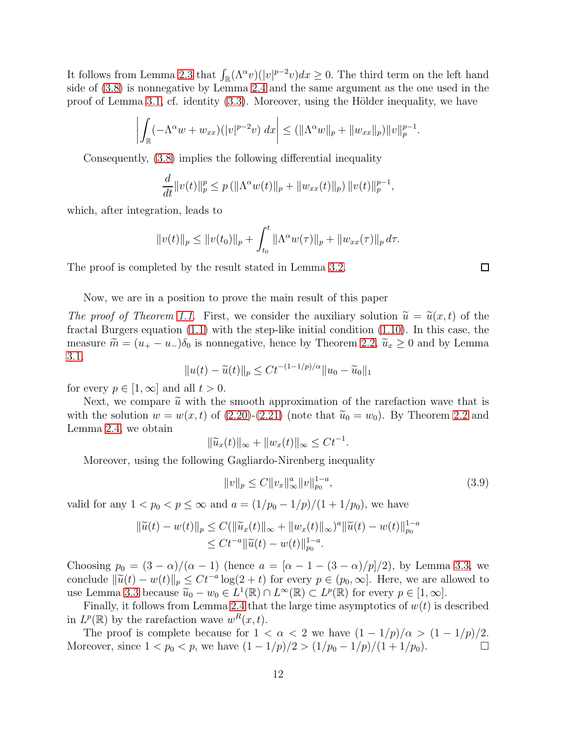It follows from Lemma [2.3](#page-5-6) that  $\int_{\mathbb{R}} (\Lambda^{\alpha} v)(|v|^{p-2}v)dx \geq 0$ . The third term on the left hand side of [\(3.8\)](#page-10-0) is nonnegative by Lemma [2.4](#page-8-0) and the same argument as the one used in the proof of Lemma [3.1,](#page-8-3) cf. identity  $(3.3)$ . Moreover, using the Hölder inequality, we have

$$
\left| \int_{\mathbb{R}} (-\Lambda^{\alpha} w + w_{xx})(|v|^{p-2}v) \, dx \right| \le ( \|\Lambda^{\alpha} w\|_{p} + \|w_{xx}\|_{p}) \|v\|_{p}^{p-1}.
$$

Consequently, [\(3.8\)](#page-10-0) implies the following differential inequality

$$
\frac{d}{dt}||v(t)||_p^p \le p(||\Lambda^{\alpha}w(t)||_p + ||w_{xx}(t)||_p) ||v(t)||_p^{p-1},
$$

which, after integration, leads to

$$
||v(t)||_p \le ||v(t_0)||_p + \int_{t_0}^t ||\Lambda^{\alpha} w(\tau)||_p + ||w_{xx}(\tau)||_p d\tau.
$$

The proof is completed by the result stated in Lemma [3.2.](#page-10-1)

□

Now, we are in a position to prove the main result of this paper

The proof of Theorem [1.1.](#page-2-0) First, we consider the auxiliary solution  $\tilde{u} = \tilde{u}(x, t)$  of the fractal Burgers equation  $(1.1)$  with the step-like initial condition  $(1.10)$ . In this case, the measure  $\widetilde{m} = (u_{+} - u_{-})\delta_0$  is nonnegative, hence by Theorem [2.2,](#page-3-0)  $\widetilde{u}_x \geq 0$  and by Lemma [3.1,](#page-8-3)

$$
||u(t) - \widetilde{u}(t)||_p \le Ct^{-(1-1/p)/\alpha} ||u_0 - \widetilde{u}_0||_1
$$

for every  $p \in [1, \infty]$  and all  $t > 0$ .

Next, we compare  $\tilde{u}$  with the smooth approximation of the rarefaction wave that is with the solution  $w = w(x, t)$  of [\(2.20\)](#page-8-1)-[\(2.21\)](#page-8-1) (note that  $\tilde{u}_0 = w_0$ ). By Theorem [2.2](#page-3-0) and Lemma [2.4,](#page-8-0) we obtain

$$
\|\widetilde{u}_x(t)\|_{\infty} + \|w_x(t)\|_{\infty} \le Ct^{-1}.
$$

Moreover, using the following Gagliardo-Nirenberg inequality

$$
||v||_p \le C||v_x||_\infty^a ||v||_{p_0}^{1-a},\tag{3.9}
$$

valid for any  $1 < p_0 < p \le \infty$  and  $a = (1/p_0 - 1/p)/(1 + 1/p_0)$ , we have

$$
\|\widetilde{u}(t) - w(t)\|_{p} \le C(\|\widetilde{u}_x(t)\|_{\infty} + \|w_x(t)\|_{\infty})^{a} \|\widetilde{u}(t) - w(t)\|_{p_0}^{1-a}
$$
  

$$
\le Ct^{-a} \|\widetilde{u}(t) - w(t)\|_{p_0}^{1-a}.
$$

Choosing  $p_0 = (3 - \alpha)/(\alpha - 1)$  (hence  $a = [\alpha - 1 - (3 - \alpha)/p]/2$ ), by Lemma [3.3,](#page-10-2) we conclude  $\|\widetilde{u}(t) - w(t)\|_p \le Ct^{-a}\log(2+t)$  for every  $p \in (p_0, \infty]$ . Here, we are allowed to use Lemma [3.3](#page-10-2) because  $\widetilde{u}_0 - w_0 \in L^1(\mathbb{R}) \cap L^\infty(\mathbb{R}) \subset L^p(\mathbb{R})$  for every  $p \in [1, \infty]$ .

Finally, it follows from Lemma [2.4](#page-8-0) that the large time asymptotics of  $w(t)$  is described in  $L^p(\mathbb{R})$  by the rarefaction wave  $w^R(x,t)$ .

The proof is complete because for  $1 < \alpha < 2$  we have  $(1 - 1/p)/\alpha > (1 - 1/p)/2$ . Moreover, since  $1 < p_0 < p$ , we have  $(1 - 1/p)/2 > (1/p_0 - 1/p)/(1 + 1/p_0)$ .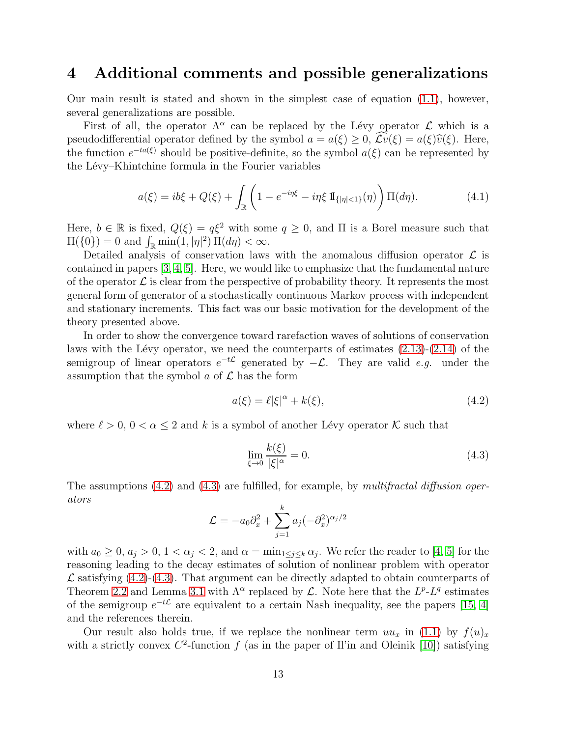### 4 Additional comments and possible generalizations

Our main result is stated and shown in the simplest case of equation [\(1.1\)](#page-0-0), however, several generalizations are possible.

First of all, the operator  $\Lambda^{\alpha}$  can be replaced by the Lévy operator  $\mathcal L$  which is a pseudodifferential operator defined by the symbol  $a = a(\xi) > 0$ ,  $\mathcal{L}v(\xi) = a(\xi)\hat{v}(\xi)$ . Here, the function  $e^{-ta(\xi)}$  should be positive-definite, so the symbol  $a(\xi)$  can be represented by the Lévy–Khintchine formula in the Fourier variables

$$
a(\xi) = ib\xi + Q(\xi) + \int_{\mathbb{R}} \left( 1 - e^{-i\eta\xi} - i\eta \xi \, \mathbb{I}_{\{|\eta| < 1\}}(\eta) \right) \Pi(d\eta). \tag{4.1}
$$

Here,  $b \in \mathbb{R}$  is fixed,  $Q(\xi) = q\xi^2$  with some  $q \ge 0$ , and  $\Pi$  is a Borel measure such that  $\Pi({0}) = 0$  and  $\int_{\mathbb{R}} \min(1, |\eta|^2) \Pi(d\eta) < \infty$ .

Detailed analysis of conservation laws with the anomalous diffusion operator  $\mathcal L$  is contained in papers [\[3,](#page-13-5) [4,](#page-13-6) [5\]](#page-13-7). Here, we would like to emphasize that the fundamental nature of the operator  $\mathcal L$  is clear from the perspective of probability theory. It represents the most general form of generator of a stochastically continuous Markov process with independent and stationary increments. This fact was our basic motivation for the development of the theory presented above.

In order to show the convergence toward rarefaction waves of solutions of conservation laws with the Lévy operator, we need the counterparts of estimates  $(2.13)-(2.14)$  $(2.13)-(2.14)$  of the semigroup of linear operators  $e^{-t\mathcal{L}}$  generated by  $-\mathcal{L}$ . They are valid e.g. under the assumption that the symbol  $a$  of  $\mathcal L$  has the form

<span id="page-12-0"></span>
$$
a(\xi) = \ell |\xi|^{\alpha} + k(\xi), \qquad (4.2)
$$

where  $\ell > 0$ ,  $0 < \alpha \leq 2$  and k is a symbol of another Lévy operator K such that

<span id="page-12-1"></span>
$$
\lim_{\xi \to 0} \frac{k(\xi)}{|\xi|^\alpha} = 0. \tag{4.3}
$$

The assumptions  $(4.2)$  and  $(4.3)$  are fulfilled, for example, by multifractal diffusion operators

$$
\mathcal{L} = -a_0 \partial_x^2 + \sum_{j=1}^k a_j (-\partial_x^2)^{\alpha_j/2}
$$

with  $a_0 \geq 0$ ,  $a_j > 0$ ,  $1 < \alpha_j < 2$ , and  $\alpha = \min_{1 \leq j \leq k} \alpha_j$ . We refer the reader to [\[4,](#page-13-6) [5\]](#page-13-7) for the reasoning leading to the decay estimates of solution of nonlinear problem with operator  $\mathcal L$  satisfying [\(4.2\)](#page-12-0)-[\(4.3\)](#page-12-1). That argument can be directly adapted to obtain counterparts of Theorem [2.2](#page-3-0) and Lemma [3.1](#page-8-3) with  $\Lambda^{\alpha}$  replaced by  $\mathcal{L}$ . Note here that the  $L^{p}$ - $L^{q}$  estimates of the semigroup  $e^{-t\mathcal{L}}$  are equivalent to a certain Nash inequality, see the papers [\[15,](#page-14-10) [4\]](#page-13-6) and the references therein.

Our result also holds true, if we replace the nonlinear term  $uu_x$  in [\(1.1\)](#page-0-0) by  $f(u)_x$ with a strictly convex  $C^2$ -function f (as in the paper of Il'in and Oleinik [\[10\]](#page-14-3)) satisfying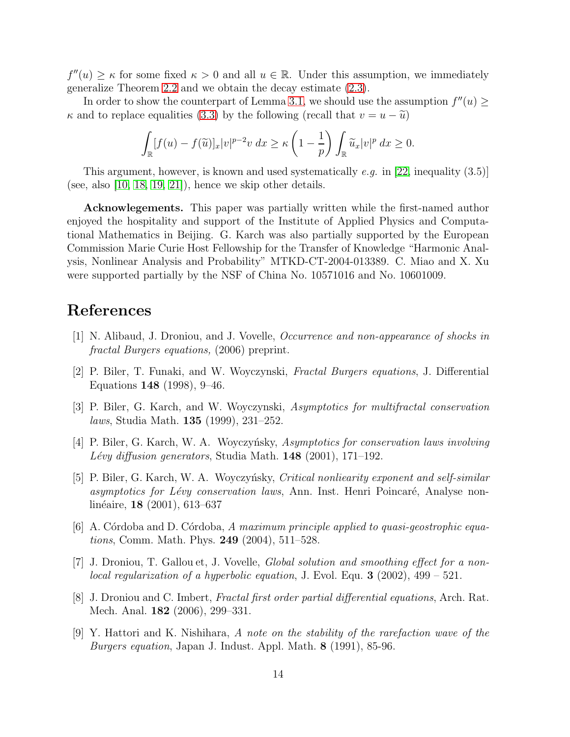$f''(u) \geq \kappa$  for some fixed  $\kappa > 0$  and all  $u \in \mathbb{R}$ . Under this assumption, we immediately generalize Theorem [2.2](#page-3-0) and we obtain the decay estimate [\(2.3\)](#page-3-3).

In order to show the counterpart of Lemma [3.1,](#page-8-3) we should use the assumption  $f''(u) \geq$  $\kappa$  and to replace equalities [\(3.3\)](#page-9-4) by the following (recall that  $v = u - \tilde{u}$ )

$$
\int_{\mathbb{R}} [f(u) - f(\widetilde{u})]_x |v|^{p-2} v \, dx \ge \kappa \left(1 - \frac{1}{p}\right) \int_{\mathbb{R}} \widetilde{u}_x |v|^p \, dx \ge 0.
$$

This argument, however, is known and used systematically e.g. in [\[22,](#page-14-8) inequality  $(3.5)$ ] (see, also  $[10, 18, 19, 21]$  $[10, 18, 19, 21]$  $[10, 18, 19, 21]$  $[10, 18, 19, 21]$ ), hence we skip other details.

Acknowlegements. This paper was partially written while the first-named author enjoyed the hospitality and support of the Institute of Applied Physics and Computational Mathematics in Beijing. G. Karch was also partially supported by the European Commission Marie Curie Host Fellowship for the Transfer of Knowledge "Harmonic Analysis, Nonlinear Analysis and Probability" MTKD-CT-2004-013389. C. Miao and X. Xu were supported partially by the NSF of China No. 10571016 and No. 10601009.

## <span id="page-13-4"></span>References

- <span id="page-13-0"></span>[1] N. Alibaud, J. Droniou, and J. Vovelle, Occurrence and non-appearance of shocks in fractal Burgers equations, (2006) preprint.
- <span id="page-13-5"></span>[2] P. Biler, T. Funaki, and W. Woyczynski, Fractal Burgers equations, J. Differential Equations 148 (1998), 9–46.
- <span id="page-13-6"></span>[3] P. Biler, G. Karch, and W. Woyczynski, Asymptotics for multifractal conservation laws, Studia Math. 135 (1999), 231–252.
- <span id="page-13-7"></span>[4] P. Biler, G. Karch, W. A. Woyczyńsky, Asymptotics for conservation laws involving Lévy diffusion generators, Studia Math.  $148$  (2001), 171–192.
- [5] P. Biler, G. Karch, W. A. Woyczyńsky, Critical nonliearity exponent and self-similar asymptotics for Lévy conservation laws, Ann. Inst. Henri Poincaré, Analyse nonlinéaire, **18** (2001), 613–637
- <span id="page-13-8"></span><span id="page-13-2"></span>[6] A. Córdoba and D. Córdoba, A maximum principle applied to quasi-geostrophic equations, Comm. Math. Phys. 249 (2004), 511–528.
- [7] J. Droniou, T. Gallou et, J. Vovelle, Global solution and smoothing effect for a nonlocal regularization of a hyperbolic equation, J. Evol. Equ.  $3$  (2002), 499 – 521.
- <span id="page-13-3"></span>[8] J. Droniou and C. Imbert, Fractal first order partial differential equations, Arch. Rat. Mech. Anal. 182 (2006), 299–331.
- <span id="page-13-1"></span>[9] Y. Hattori and K. Nishihara, A note on the stability of the rarefaction wave of the Burgers equation, Japan J. Indust. Appl. Math. 8 (1991), 85-96.